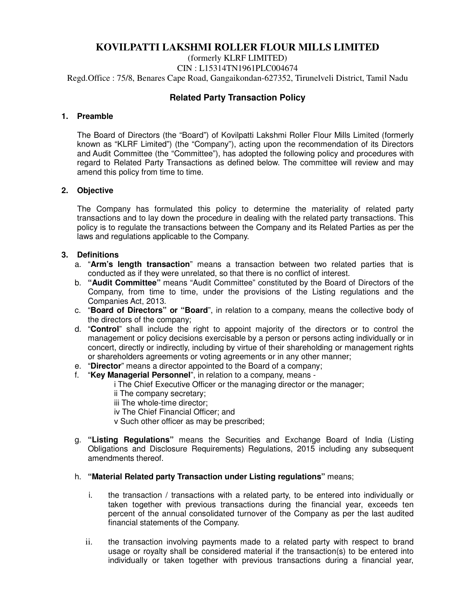# **KOVILPATTI LAKSHMI ROLLER FLOUR MILLS LIMITED**

(formerly KLRF LIMITED) CIN : L15314TN1961PLC004674 Regd.Office : 75/8, Benares Cape Road, Gangaikondan-627352, Tirunelveli District, Tamil Nadu

# **Related Party Transaction Policy**

# **1. Preamble**

The Board of Directors (the "Board") of Kovilpatti Lakshmi Roller Flour Mills Limited (formerly known as "KLRF Limited") (the "Company"), acting upon the recommendation of its Directors and Audit Committee (the "Committee"), has adopted the following policy and procedures with regard to Related Party Transactions as defined below. The committee will review and may amend this policy from time to time.

# **2. Objective**

The Company has formulated this policy to determine the materiality of related party transactions and to lay down the procedure in dealing with the related party transactions. This policy is to regulate the transactions between the Company and its Related Parties as per the laws and regulations applicable to the Company.

# **3. Definitions**

- a. "**Arm's length transaction**" means a transaction between two related parties that is conducted as if they were unrelated, so that there is no conflict of interest.
- b. **"Audit Committee"** means "Audit Committee" constituted by the Board of Directors of the Company, from time to time, under the provisions of the Listing regulations and the Companies Act, 2013.
- c. "**Board of Directors" or "Board**", in relation to a company, means the collective body of the directors of the company;
- d. "**Control**" shall include the right to appoint majority of the directors or to control the management or policy decisions exercisable by a person or persons acting individually or in concert, directly or indirectly, including by virtue of their shareholding or management rights or shareholders agreements or voting agreements or in any other manner;
- e. "**Director**" means a director appointed to the Board of a company;
- f. "**Key Managerial Personnel**", in relation to a company, means -

i The Chief Executive Officer or the managing director or the manager;

- ii The company secretary;
- iii The whole-time director;
- iv The Chief Financial Officer; and
- v Such other officer as may be prescribed;
- g. **"Listing Regulations"** means the Securities and Exchange Board of India (Listing Obligations and Disclosure Requirements) Regulations, 2015 including any subsequent amendments thereof.

# h. **"Material Related party Transaction under Listing regulations"** means;

- i. the transaction / transactions with a related party, to be entered into individually or taken together with previous transactions during the financial year, exceeds ten percent of the annual consolidated turnover of the Company as per the last audited financial statements of the Company.
- ii. the transaction involving payments made to a related party with respect to brand usage or royalty shall be considered material if the transaction(s) to be entered into individually or taken together with previous transactions during a financial year,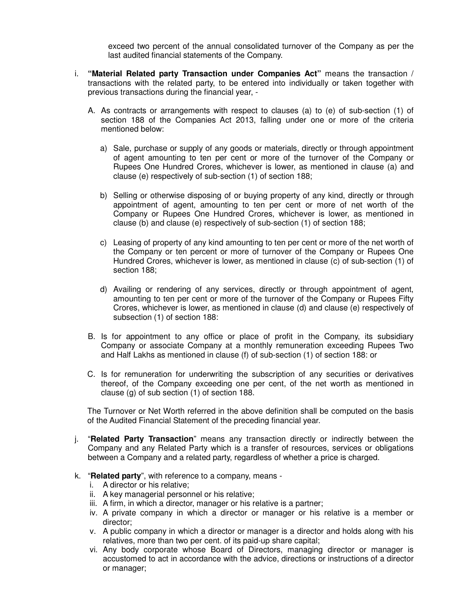exceed two percent of the annual consolidated turnover of the Company as per the last audited financial statements of the Company.

- i. **"Material Related party Transaction under Companies Act"** means the transaction / transactions with the related party, to be entered into individually or taken together with previous transactions during the financial year, -
	- A. As contracts or arrangements with respect to clauses (a) to (e) of sub-section (1) of section 188 of the Companies Act 2013, falling under one or more of the criteria mentioned below:
		- a) Sale, purchase or supply of any goods or materials, directly or through appointment of agent amounting to ten per cent or more of the turnover of the Company or Rupees One Hundred Crores, whichever is lower, as mentioned in clause (a) and clause (e) respectively of sub-section (1) of section 188;
		- b) Selling or otherwise disposing of or buying property of any kind, directly or through appointment of agent, amounting to ten per cent or more of net worth of the Company or Rupees One Hundred Crores, whichever is lower, as mentioned in clause (b) and clause (e) respectively of sub-section (1) of section 188;
		- c) Leasing of property of any kind amounting to ten per cent or more of the net worth of the Company or ten percent or more of turnover of the Company or Rupees One Hundred Crores, whichever is lower, as mentioned in clause (c) of sub-section (1) of section 188;
		- d) Availing or rendering of any services, directly or through appointment of agent, amounting to ten per cent or more of the turnover of the Company or Rupees Fifty Crores, whichever is lower, as mentioned in clause (d) and clause (e) respectively of subsection (1) of section 188:
	- B. Is for appointment to any office or place of profit in the Company, its subsidiary Company or associate Company at a monthly remuneration exceeding Rupees Two and Half Lakhs as mentioned in clause (f) of sub-section (1) of section 188: or
	- C. Is for remuneration for underwriting the subscription of any securities or derivatives thereof, of the Company exceeding one per cent, of the net worth as mentioned in clause (g) of sub section (1) of section 188.

The Turnover or Net Worth referred in the above definition shall be computed on the basis of the Audited Financial Statement of the preceding financial year.

- j. "**Related Party Transaction**" means any transaction directly or indirectly between the Company and any Related Party which is a transfer of resources, services or obligations between a Company and a related party, regardless of whether a price is charged.
- k. "**Related party**", with reference to a company, means
	- i. A director or his relative;
	- ii. A key managerial personnel or his relative;
	- iii. A firm, in which a director, manager or his relative is a partner;
	- iv. A private company in which a director or manager or his relative is a member or director;
	- v. A public company in which a director or manager is a director and holds along with his relatives, more than two per cent. of its paid-up share capital;
	- vi. Any body corporate whose Board of Directors, managing director or manager is accustomed to act in accordance with the advice, directions or instructions of a director or manager;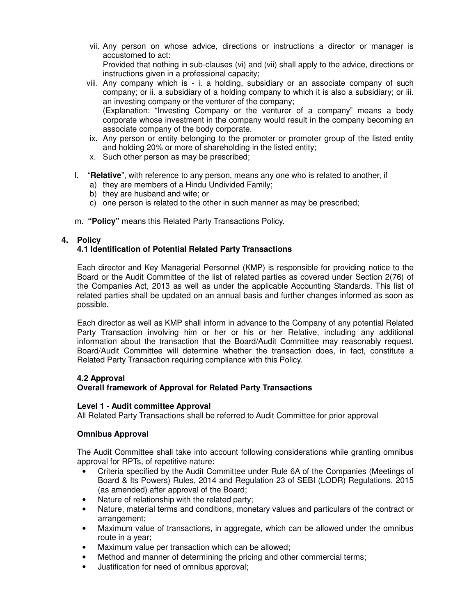vii. Any person on whose advice, directions or instructions a director or manager is accustomed to act:

Provided that nothing in sub-clauses (vi) and (vii) shall apply to the advice, directions or instructions given in a professional capacity;

viii. Any company which is - i. a holding, subsidiary or an associate company of such company; or ii. a subsidiary of a holding company to which it is also a subsidiary; or iii. an investing company or the venturer of the company; (Explanation: "Investing Company or the venturer of a company" means a body

corporate whose investment in the company would result in the company becoming an associate company of the body corporate.

- ix. Any person or entity belonging to the promoter or promoter group of the listed entity and holding 20% or more of shareholding in the listed entity;
- x. Such other person as may be prescribed;
- l. "**Relative**", with reference to any person, means any one who is related to another, if
	- a) they are members of a Hindu Undivided Family;
	- b) they are husband and wife; or
	- c) one person is related to the other in such manner as may be prescribed;
- m. **"Policy"** means this Related Party Transactions Policy.

# **4. Policy**

# **4.1 Identification of Potential Related Party Transactions**

Each director and Key Managerial Personnel (KMP) is responsible for providing notice to the Board or the Audit Committee of the list of related parties as covered under Section 2(76) of the Companies Act, 2013 as well as under the applicable Accounting Standards. This list of related parties shall be updated on an annual basis and further changes informed as soon as possible.

Each director as well as KMP shall inform in advance to the Company of any potential Related Party Transaction involving him or her or his or her Relative, including any additional information about the transaction that the Board/Audit Committee may reasonably request. Board/Audit Committee will determine whether the transaction does, in fact, constitute a Related Party Transaction requiring compliance with this Policy.

#### **4.2 Approval**

# **Overall framework of Approval for Related Party Transactions**

#### **Level 1 - Audit committee Approval**

All Related Party Transactions shall be referred to Audit Committee for prior approval

#### **Omnibus Approval**

The Audit Committee shall take into account following considerations while granting omnibus approval for RPTs, of repetitive nature:

- Criteria specified by the Audit Committee under Rule 6A of the Companies (Meetings of Board & Its Powers) Rules, 2014 and Regulation 23 of SEBI (LODR) Regulations, 2015 (as amended) after approval of the Board;
- Nature of relationship with the related party;
- Nature, material terms and conditions, monetary values and particulars of the contract or arrangement;
- Maximum value of transactions, in aggregate, which can be allowed under the omnibus route in a year;
- Maximum value per transaction which can be allowed;
- Method and manner of determining the pricing and other commercial terms;
- Justification for need of omnibus approval;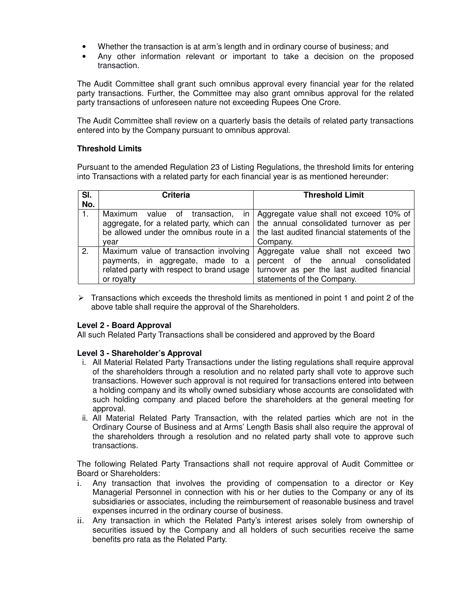- Whether the transaction is at arm's length and in ordinary course of business; and
- Any other information relevant or important to take a decision on the proposed transaction.

The Audit Committee shall grant such omnibus approval every financial year for the related party transactions. Further, the Committee may also grant omnibus approval for the related party transactions of unforeseen nature not exceeding Rupees One Crore.

The Audit Committee shall review on a quarterly basis the details of related party transactions entered into by the Company pursuant to omnibus approval.

# **Threshold Limits**

Pursuant to the amended Regulation 23 of Listing Regulations, the threshold limits for entering into Transactions with a related party for each financial year is as mentioned hereunder:

| SI.<br>No.       | <b>Criteria</b>                                                                                                                        | <b>Threshold Limit</b>                                                                                                                                 |
|------------------|----------------------------------------------------------------------------------------------------------------------------------------|--------------------------------------------------------------------------------------------------------------------------------------------------------|
|                  | Maximum value of transaction, in<br>aggregate, for a related party, which can<br>be allowed under the omnibus route in a<br>vear       | Aggregate value shall not exceed 10% of<br>the annual consolidated turnover as per<br>the last audited financial statements of the<br>Company.         |
| $\overline{2}$ . | Maximum value of transaction involving<br>payments, in aggregate, made to a<br>related party with respect to brand usage<br>or royalty | Aggregate value shall not exceed two<br>percent of the annual consolidated<br>turnover as per the last audited financial<br>statements of the Company. |

 $\triangleright$  Transactions which exceeds the threshold limits as mentioned in point 1 and point 2 of the above table shall require the approval of the Shareholders.

# **Level 2 - Board Approval**

All such Related Party Transactions shall be considered and approved by the Board

# **Level 3 - Shareholder's Approval**

- i. All Material Related Party Transactions under the listing regulations shall require approval of the shareholders through a resolution and no related party shall vote to approve such transactions. However such approval is not required for transactions entered into between a holding company and its wholly owned subsidiary whose accounts are consolidated with such holding company and placed before the shareholders at the general meeting for approval.
- ii. All Material Related Party Transaction, with the related parties which are not in the Ordinary Course of Business and at Arms' Length Basis shall also require the approval of the shareholders through a resolution and no related party shall vote to approve such transactions.

The following Related Party Transactions shall not require approval of Audit Committee or Board or Shareholders:

- i. Any transaction that involves the providing of compensation to a director or Key Managerial Personnel in connection with his or her duties to the Company or any of its subsidiaries or associates, including the reimbursement of reasonable business and travel expenses incurred in the ordinary course of business.
- ii. Any transaction in which the Related Party's interest arises solely from ownership of securities issued by the Company and all holders of such securities receive the same benefits pro rata as the Related Party.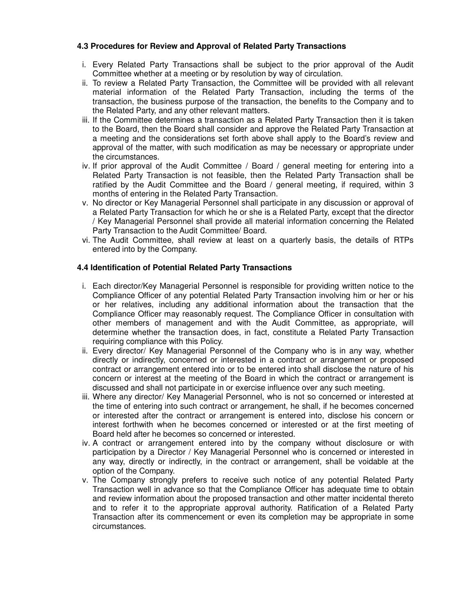# **4.3 Procedures for Review and Approval of Related Party Transactions**

- i. Every Related Party Transactions shall be subject to the prior approval of the Audit Committee whether at a meeting or by resolution by way of circulation.
- ii. To review a Related Party Transaction, the Committee will be provided with all relevant material information of the Related Party Transaction, including the terms of the transaction, the business purpose of the transaction, the benefits to the Company and to the Related Party, and any other relevant matters.
- iii. If the Committee determines a transaction as a Related Party Transaction then it is taken to the Board, then the Board shall consider and approve the Related Party Transaction at a meeting and the considerations set forth above shall apply to the Board's review and approval of the matter, with such modification as may be necessary or appropriate under the circumstances.
- iv. If prior approval of the Audit Committee / Board / general meeting for entering into a Related Party Transaction is not feasible, then the Related Party Transaction shall be ratified by the Audit Committee and the Board / general meeting, if required, within 3 months of entering in the Related Party Transaction.
- v. No director or Key Managerial Personnel shall participate in any discussion or approval of a Related Party Transaction for which he or she is a Related Party, except that the director / Key Managerial Personnel shall provide all material information concerning the Related Party Transaction to the Audit Committee/ Board.
- vi. The Audit Committee, shall review at least on a quarterly basis, the details of RTPs entered into by the Company.

# **4.4 Identification of Potential Related Party Transactions**

- i. Each director/Key Managerial Personnel is responsible for providing written notice to the Compliance Officer of any potential Related Party Transaction involving him or her or his or her relatives, including any additional information about the transaction that the Compliance Officer may reasonably request. The Compliance Officer in consultation with other members of management and with the Audit Committee, as appropriate, will determine whether the transaction does, in fact, constitute a Related Party Transaction requiring compliance with this Policy.
- ii. Every director/ Key Managerial Personnel of the Company who is in any way, whether directly or indirectly, concerned or interested in a contract or arrangement or proposed contract or arrangement entered into or to be entered into shall disclose the nature of his concern or interest at the meeting of the Board in which the contract or arrangement is discussed and shall not participate in or exercise influence over any such meeting.
- iii. Where any director/ Key Managerial Personnel, who is not so concerned or interested at the time of entering into such contract or arrangement, he shall, if he becomes concerned or interested after the contract or arrangement is entered into, disclose his concern or interest forthwith when he becomes concerned or interested or at the first meeting of Board held after he becomes so concerned or interested.
- iv. A contract or arrangement entered into by the company without disclosure or with participation by a Director / Key Managerial Personnel who is concerned or interested in any way, directly or indirectly, in the contract or arrangement, shall be voidable at the option of the Company.
- v. The Company strongly prefers to receive such notice of any potential Related Party Transaction well in advance so that the Compliance Officer has adequate time to obtain and review information about the proposed transaction and other matter incidental thereto and to refer it to the appropriate approval authority. Ratification of a Related Party Transaction after its commencement or even its completion may be appropriate in some circumstances.